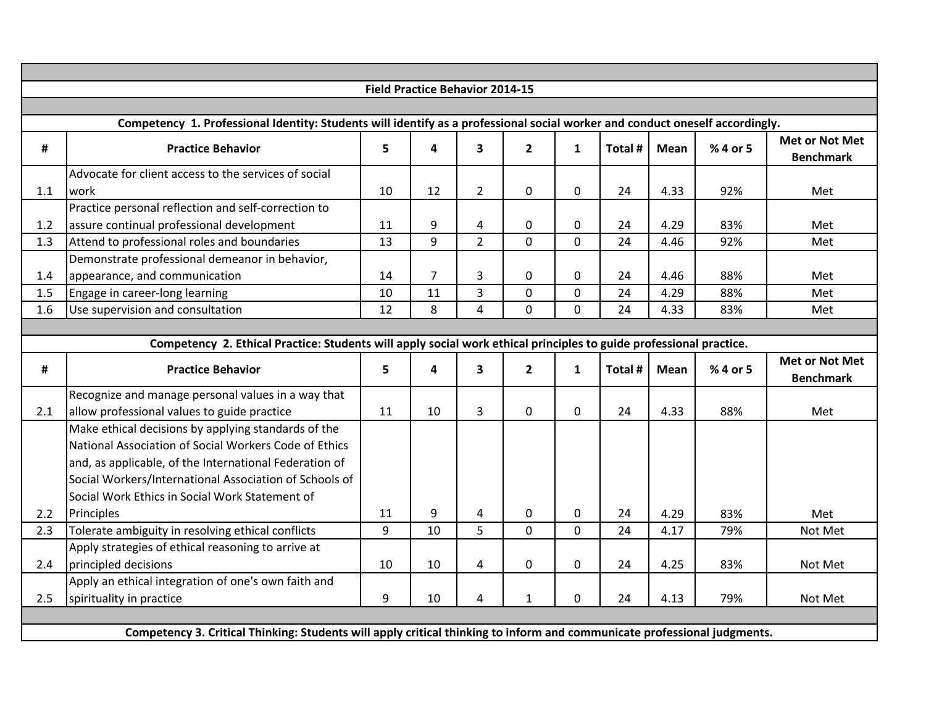|     |                                                                                                                              | <b>Field Practice Behavior 2014-15</b> |                         |                         |                |                |         |             |          |                                           |
|-----|------------------------------------------------------------------------------------------------------------------------------|----------------------------------------|-------------------------|-------------------------|----------------|----------------|---------|-------------|----------|-------------------------------------------|
|     |                                                                                                                              |                                        |                         |                         |                |                |         |             |          |                                           |
|     | Competency 1. Professional Identity: Students will identify as a professional social worker and conduct oneself accordingly. |                                        |                         |                         |                |                |         |             |          |                                           |
| #   | <b>Practice Behavior</b>                                                                                                     | 5                                      | $\overline{\mathbf{4}}$ | $\overline{\mathbf{3}}$ | $\overline{2}$ | $\mathbf{1}$   | Total # | <b>Mean</b> | % 4 or 5 | <b>Met or Not Met</b><br><b>Benchmark</b> |
|     | Advocate for client access to the services of social                                                                         |                                        |                         |                         |                |                |         |             |          |                                           |
| 1.1 | work                                                                                                                         | 10                                     | 12                      | $\overline{2}$          | $\mathbf 0$    | $\pmb{0}$      | 24      | 4.33        | 92%      | Met                                       |
|     | Practice personal reflection and self-correction to                                                                          |                                        |                         |                         |                |                |         |             |          |                                           |
| 1.2 | assure continual professional development                                                                                    | 11                                     | 9                       | 4                       | $\mathbf 0$    | $\mathbf 0$    | 24      | 4.29        | 83%      | Met                                       |
| 1.3 | Attend to professional roles and boundaries                                                                                  | 13                                     | 9                       | $\overline{2}$          | $\mathbf{0}$   | $\overline{0}$ | 24      | 4.46        | 92%      | Met                                       |
|     | Demonstrate professional demeanor in behavior,                                                                               |                                        |                         |                         |                |                |         |             |          |                                           |
| 1.4 | appearance, and communication                                                                                                | 14                                     | $\overline{7}$          | 3                       | $\mathbf{0}$   | $\mathbf 0$    | 24      | 4.46        | 88%      | Met                                       |
| 1.5 | Engage in career-long learning                                                                                               | 10                                     | 11                      | 3                       | $\mathbf 0$    | $\mathbf 0$    | 24      | 4.29        | 88%      | Met                                       |
| 1.6 | Use supervision and consultation                                                                                             | 12                                     | 8                       | $\overline{4}$          | $\mathbf{0}$   | $\overline{0}$ | 24      | 4.33        | 83%      | Met                                       |
|     |                                                                                                                              |                                        |                         |                         |                |                |         |             |          |                                           |
|     | Competency 2. Ethical Practice: Students will apply social work ethical principles to guide professional practice.           |                                        |                         |                         |                |                |         |             |          |                                           |
| #   | <b>Practice Behavior</b>                                                                                                     | 5                                      | 4                       | $\mathbf{3}$            | $\overline{2}$ | $\mathbf{1}$   | Total # | <b>Mean</b> | % 4 or 5 | <b>Met or Not Met</b><br><b>Benchmark</b> |
|     | Recognize and manage personal values in a way that                                                                           |                                        |                         |                         |                |                |         |             |          |                                           |
| 2.1 | allow professional values to guide practice                                                                                  | 11                                     | 10                      | 3                       | $\mathbf 0$    | $\mathbf 0$    | 24      | 4.33        | 88%      | Met                                       |
|     | Make ethical decisions by applying standards of the                                                                          |                                        |                         |                         |                |                |         |             |          |                                           |
|     | National Association of Social Workers Code of Ethics                                                                        |                                        |                         |                         |                |                |         |             |          |                                           |
|     | and, as applicable, of the International Federation of                                                                       |                                        |                         |                         |                |                |         |             |          |                                           |
|     | Social Workers/International Association of Schools of                                                                       |                                        |                         |                         |                |                |         |             |          |                                           |
|     | Social Work Ethics in Social Work Statement of                                                                               |                                        |                         |                         |                |                |         |             |          |                                           |
| 2.2 | Principles                                                                                                                   | 11                                     | 9                       | $\overline{\mathbf{4}}$ | $\pmb{0}$      | $\pmb{0}$      | 24      | 4.29        | 83%      | Met                                       |
| 2.3 | Tolerate ambiguity in resolving ethical conflicts                                                                            | 9                                      | 10                      | 5                       | $\mathbf 0$    | $\overline{0}$ | 24      | 4.17        | 79%      | Not Met                                   |
|     | Apply strategies of ethical reasoning to arrive at                                                                           |                                        |                         |                         |                |                |         |             |          |                                           |
| 2.4 | principled decisions                                                                                                         | 10                                     | 10                      | 4                       | $\mathbf 0$    | $\mathbf 0$    | 24      | 4.25        | 83%      | Not Met                                   |
|     | Apply an ethical integration of one's own faith and                                                                          |                                        |                         |                         |                |                |         |             |          |                                           |
| 2.5 | spirituality in practice                                                                                                     | 9                                      | 10                      | 4                       | $\mathbf{1}$   | $\mathbf 0$    | 24      | 4.13        | 79%      | Not Met                                   |
|     |                                                                                                                              |                                        |                         |                         |                |                |         |             |          |                                           |
|     | Competency 3. Critical Thinking: Students will apply critical thinking to inform and communicate professional judgments.     |                                        |                         |                         |                |                |         |             |          |                                           |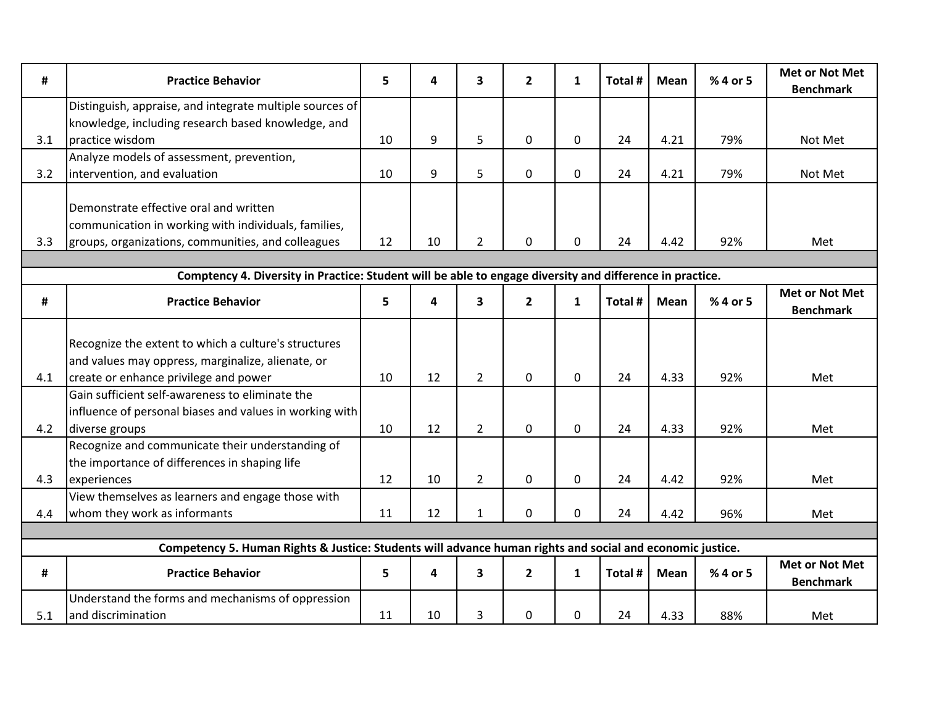| #   | <b>Practice Behavior</b>                                                                                  | 5  | 4  | 3              | $\mathbf{2}$   | $\mathbf{1}$ | Total # | Mean        | % 4 or 5 | Met or Not Met<br><b>Benchmark</b>        |
|-----|-----------------------------------------------------------------------------------------------------------|----|----|----------------|----------------|--------------|---------|-------------|----------|-------------------------------------------|
|     | Distinguish, appraise, and integrate multiple sources of                                                  |    |    |                |                |              |         |             |          |                                           |
|     | knowledge, including research based knowledge, and                                                        |    |    |                |                |              |         |             |          |                                           |
| 3.1 | Ipractice wisdom                                                                                          | 10 | 9  | 5              | $\mathbf 0$    | $\mathbf 0$  | 24      | 4.21        | 79%      | Not Met                                   |
|     | Analyze models of assessment, prevention,                                                                 |    |    |                |                |              |         |             |          |                                           |
| 3.2 | intervention, and evaluation                                                                              | 10 | 9  | 5              | $\mathbf 0$    | $\mathbf 0$  | 24      | 4.21        | 79%      | Not Met                                   |
|     |                                                                                                           |    |    |                |                |              |         |             |          |                                           |
|     | Demonstrate effective oral and written                                                                    |    |    |                |                |              |         |             |          |                                           |
|     | communication in working with individuals, families,                                                      |    |    |                |                |              |         |             |          |                                           |
| 3.3 | groups, organizations, communities, and colleagues                                                        | 12 | 10 | $\overline{2}$ | 0              | 0            | 24      | 4.42        | 92%      | Met                                       |
|     |                                                                                                           |    |    |                |                |              |         |             |          |                                           |
|     | Comptency 4. Diversity in Practice: Student will be able to engage diversity and difference in practice.  |    |    |                |                |              |         |             |          |                                           |
| #   | <b>Practice Behavior</b>                                                                                  | 5  | 4  | 3              | $\overline{2}$ | $\mathbf{1}$ | Total # | <b>Mean</b> | % 4 or 5 | Met or Not Met                            |
|     |                                                                                                           |    |    |                |                |              |         |             |          | <b>Benchmark</b>                          |
|     |                                                                                                           |    |    |                |                |              |         |             |          |                                           |
|     | Recognize the extent to which a culture's structures                                                      |    |    |                |                |              |         |             |          |                                           |
|     | and values may oppress, marginalize, alienate, or                                                         |    |    |                |                |              |         |             |          |                                           |
| 4.1 | create or enhance privilege and power                                                                     | 10 | 12 | $\overline{2}$ | $\mathbf 0$    | $\mathbf 0$  | 24      | 4.33        | 92%      | Met                                       |
|     | Gain sufficient self-awareness to eliminate the                                                           |    |    |                |                |              |         |             |          |                                           |
|     | influence of personal biases and values in working with                                                   |    |    |                |                |              |         |             |          |                                           |
| 4.2 | diverse groups                                                                                            | 10 | 12 | $2^{\circ}$    | $\mathbf 0$    | $\mathbf 0$  | 24      | 4.33        | 92%      | Met                                       |
|     | Recognize and communicate their understanding of                                                          |    |    |                |                |              |         |             |          |                                           |
|     | the importance of differences in shaping life                                                             |    |    |                |                |              |         |             |          |                                           |
| 4.3 | experiences                                                                                               | 12 | 10 | $\overline{2}$ | $\mathbf 0$    | $\mathbf 0$  | 24      | 4.42        | 92%      | Met                                       |
|     | View themselves as learners and engage those with                                                         |    |    |                |                |              |         |             |          |                                           |
| 4.4 | whom they work as informants                                                                              | 11 | 12 | $\mathbf{1}$   | 0              | $\mathbf 0$  | 24      | 4.42        | 96%      | Met                                       |
|     |                                                                                                           |    |    |                |                |              |         |             |          |                                           |
|     | Competency 5. Human Rights & Justice: Students will advance human rights and social and economic justice. |    |    |                |                |              |         |             |          |                                           |
| #   | <b>Practice Behavior</b>                                                                                  | 5  | 4  | 3              | $\overline{2}$ | $\mathbf{1}$ | Total # | Mean        | % 4 or 5 | <b>Met or Not Met</b><br><b>Benchmark</b> |
|     | Understand the forms and mechanisms of oppression                                                         |    |    |                |                |              |         |             |          |                                           |
| 5.1 | and discrimination                                                                                        | 11 | 10 | 3              | 0              | 0            | 24      | 4.33        | 88%      | Met                                       |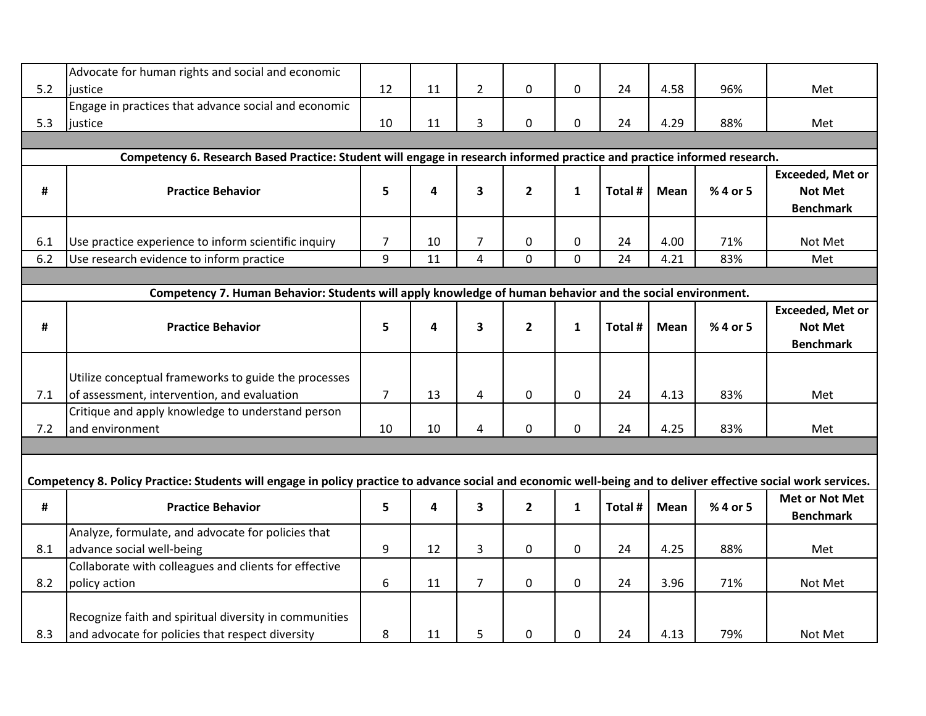|     | Advocate for human rights and social and economic                                                                                                               |                |    |                         |                |                |         |             |          |                         |
|-----|-----------------------------------------------------------------------------------------------------------------------------------------------------------------|----------------|----|-------------------------|----------------|----------------|---------|-------------|----------|-------------------------|
| 5.2 | justice                                                                                                                                                         | 12             | 11 | $\overline{2}$          | $\mathbf 0$    | 0              | 24      | 4.58        | 96%      | Met                     |
|     | Engage in practices that advance social and economic                                                                                                            |                |    |                         |                |                |         |             |          |                         |
| 5.3 | justice                                                                                                                                                         | 10             | 11 | 3                       | 0              | 0              | 24      | 4.29        | 88%      | Met                     |
|     |                                                                                                                                                                 |                |    |                         |                |                |         |             |          |                         |
|     | Competency 6. Research Based Practice: Student will engage in research informed practice and practice informed research.                                        |                |    |                         |                |                |         |             |          |                         |
|     |                                                                                                                                                                 |                |    |                         |                |                |         |             |          | <b>Exceeded, Met or</b> |
| #   | <b>Practice Behavior</b>                                                                                                                                        | 5              | 4  | 3                       | $\overline{2}$ | $\mathbf{1}$   | Total # | <b>Mean</b> | % 4 or 5 | <b>Not Met</b>          |
|     |                                                                                                                                                                 |                |    |                         |                |                |         |             |          | <b>Benchmark</b>        |
|     |                                                                                                                                                                 |                |    |                         |                |                |         |             |          |                         |
| 6.1 | Use practice experience to inform scientific inquiry                                                                                                            | 7              | 10 | $\overline{7}$          | 0              | $\mathbf 0$    | 24      | 4.00        | 71%      | Not Met                 |
| 6.2 | Use research evidence to inform practice                                                                                                                        | 9              | 11 | $\overline{\mathbf{4}}$ | $\mathbf 0$    | $\mathbf 0$    | 24      | 4.21        | 83%      | Met                     |
|     |                                                                                                                                                                 |                |    |                         |                |                |         |             |          |                         |
|     | Competency 7. Human Behavior: Students will apply knowledge of human behavior and the social environment.                                                       |                |    |                         |                |                |         |             |          |                         |
|     |                                                                                                                                                                 |                |    |                         |                |                |         |             |          | <b>Exceeded, Met or</b> |
| #   | <b>Practice Behavior</b>                                                                                                                                        | 5              | 4  | 3                       | $\overline{2}$ | $\mathbf{1}$   | Total # | <b>Mean</b> | % 4 or 5 | <b>Not Met</b>          |
|     |                                                                                                                                                                 |                |    |                         |                |                |         |             |          | <b>Benchmark</b>        |
|     |                                                                                                                                                                 |                |    |                         |                |                |         |             |          |                         |
|     | Utilize conceptual frameworks to guide the processes                                                                                                            |                |    |                         |                |                |         |             |          |                         |
| 7.1 | of assessment, intervention, and evaluation                                                                                                                     | 7 <sup>1</sup> | 13 | 4                       | $\pmb{0}$      | $\mathbf 0$    | 24      | 4.13        | 83%      | Met                     |
|     | Critique and apply knowledge to understand person                                                                                                               |                |    |                         |                |                |         |             |          |                         |
| 7.2 | and environment                                                                                                                                                 | 10             | 10 | 4                       | $\mathbf 0$    | $\mathbf 0$    | 24      | 4.25        | 83%      | Met                     |
|     |                                                                                                                                                                 |                |    |                         |                |                |         |             |          |                         |
|     |                                                                                                                                                                 |                |    |                         |                |                |         |             |          |                         |
|     | Competency 8. Policy Practice: Students will engage in policy practice to advance social and economic well-being and to deliver effective social work services. |                |    |                         |                |                |         |             |          |                         |
| #   | <b>Practice Behavior</b>                                                                                                                                        | 5              | 4  | 3                       | $\overline{2}$ | 1              | Total # | Mean        | % 4 or 5 | <b>Met or Not Met</b>   |
|     |                                                                                                                                                                 |                |    |                         |                |                |         |             |          | <b>Benchmark</b>        |
|     | Analyze, formulate, and advocate for policies that                                                                                                              |                |    |                         |                |                |         |             |          |                         |
| 8.1 | advance social well-being                                                                                                                                       | 9              | 12 | 3                       | $\mathbf 0$    | 0              | 24      | 4.25        | 88%      | Met                     |
|     | Collaborate with colleagues and clients for effective                                                                                                           |                |    |                         |                |                |         |             |          |                         |
| 8.2 | policy action                                                                                                                                                   | 6              | 11 | $\overline{7}$          | $\mathbf 0$    | $\overline{0}$ | 24      | 3.96        | 71%      | Not Met                 |
|     |                                                                                                                                                                 |                |    |                         |                |                |         |             |          |                         |
|     | Recognize faith and spiritual diversity in communities                                                                                                          |                |    |                         |                |                |         |             |          |                         |
| 8.3 | and advocate for policies that respect diversity                                                                                                                | 8              | 11 | 5                       | $\mathbf 0$    | 0              | 24      | 4.13        | 79%      | Not Met                 |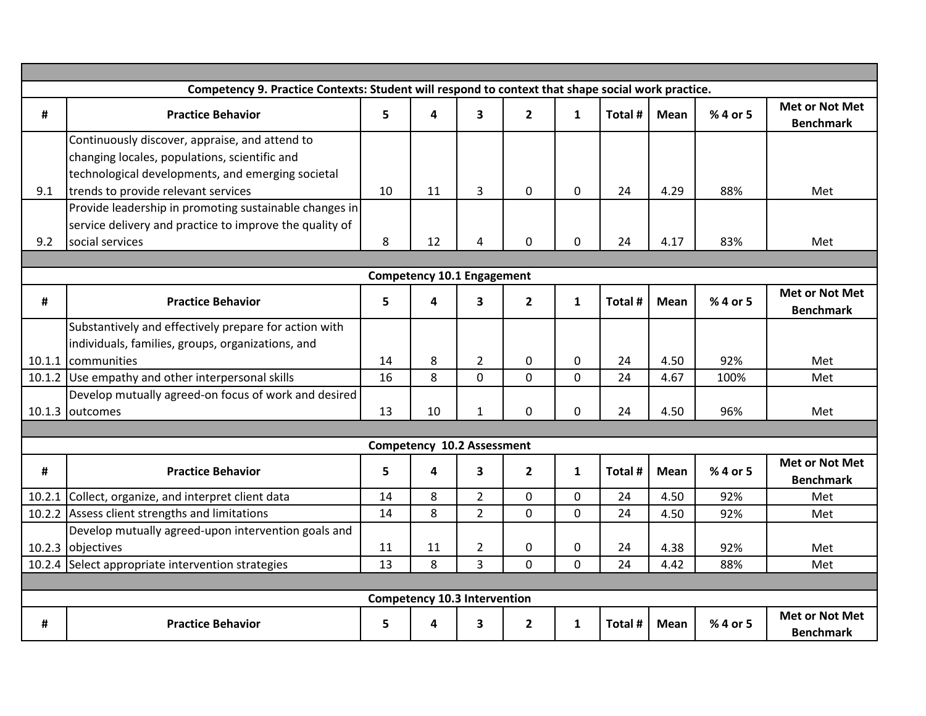|        | Competency 9. Practice Contexts: Student will respond to context that shape social work practice. |                |                                     |                         |                |              |         |             |          |                                           |
|--------|---------------------------------------------------------------------------------------------------|----------------|-------------------------------------|-------------------------|----------------|--------------|---------|-------------|----------|-------------------------------------------|
| #      | <b>Practice Behavior</b>                                                                          | $5\phantom{a}$ | 4                                   | $\overline{\mathbf{3}}$ | $\overline{2}$ | $\mathbf{1}$ | Total # | <b>Mean</b> | % 4 or 5 | <b>Met or Not Met</b><br><b>Benchmark</b> |
|        | Continuously discover, appraise, and attend to                                                    |                |                                     |                         |                |              |         |             |          |                                           |
|        | changing locales, populations, scientific and                                                     |                |                                     |                         |                |              |         |             |          |                                           |
|        | technological developments, and emerging societal                                                 |                |                                     |                         |                |              |         |             |          |                                           |
| 9.1    | trends to provide relevant services                                                               | 10             | 11                                  | $\overline{3}$          | $\mathbf 0$    | $\mathbf 0$  | 24      | 4.29        | 88%      | Met                                       |
|        | Provide leadership in promoting sustainable changes in                                            |                |                                     |                         |                |              |         |             |          |                                           |
|        | service delivery and practice to improve the quality of                                           |                |                                     |                         |                |              |         |             |          |                                           |
| 9.2    | social services                                                                                   | 8              | 12                                  | 4                       | $\mathbf 0$    | $\mathbf 0$  | 24      | 4.17        | 83%      | Met                                       |
|        |                                                                                                   |                |                                     |                         |                |              |         |             |          |                                           |
|        |                                                                                                   |                | <b>Competency 10.1 Engagement</b>   |                         |                |              |         |             |          |                                           |
| #      | <b>Practice Behavior</b>                                                                          | 5              | 4                                   | $\mathbf{3}$            | $\overline{2}$ | $\mathbf{1}$ | Total # | <b>Mean</b> | % 4 or 5 | <b>Met or Not Met</b><br><b>Benchmark</b> |
|        | Substantively and effectively prepare for action with                                             |                |                                     |                         |                |              |         |             |          |                                           |
|        | individuals, families, groups, organizations, and                                                 |                |                                     |                         |                |              |         |             |          |                                           |
| 10.1.1 | <b>I</b> communities                                                                              | 14             | 8                                   | $\overline{2}$          | $\mathbf 0$    | $\mathbf 0$  | 24      | 4.50        | 92%      | Met                                       |
|        | 10.1.2 Use empathy and other interpersonal skills                                                 | 16             | 8                                   | $\mathbf 0$             | $\mathbf 0$    | $\mathbf 0$  | 24      | 4.67        | 100%     | Met                                       |
|        | Develop mutually agreed-on focus of work and desired                                              |                |                                     |                         |                |              |         |             |          |                                           |
|        | 10.1.3 outcomes                                                                                   | 13             | 10                                  | $\mathbf{1}$            | 0              | $\Omega$     | 24      | 4.50        | 96%      | Met                                       |
|        |                                                                                                   |                |                                     |                         |                |              |         |             |          |                                           |
|        |                                                                                                   |                | Competency 10.2 Assessment          |                         |                |              |         |             |          |                                           |
| #      | <b>Practice Behavior</b>                                                                          | 5              | 4                                   | 3                       | $\overline{2}$ | $\mathbf{1}$ | Total # | Mean        | % 4 or 5 | <b>Met or Not Met</b><br><b>Benchmark</b> |
| 10.2.1 | Collect, organize, and interpret client data                                                      | 14             | 8                                   | $\overline{2}$          | $\mathbf 0$    | $\mathbf 0$  | 24      | 4.50        | 92%      | Met                                       |
| 10.2.2 | Assess client strengths and limitations                                                           | 14             | 8                                   | $\overline{2}$          | $\mathbf 0$    | $\mathbf 0$  | 24      | 4.50        | 92%      | Met                                       |
|        | Develop mutually agreed-upon intervention goals and                                               |                |                                     |                         |                |              |         |             |          |                                           |
| 10.2.3 | objectives                                                                                        | 11             | 11                                  | $\overline{2}$          | $\mathbf 0$    | 0            | 24      | 4.38        | 92%      | Met                                       |
|        | 10.2.4 Select appropriate intervention strategies                                                 | 13             | 8                                   | $\overline{3}$          | $\mathbf{0}$   | $\Omega$     | 24      | 4.42        | 88%      | Met                                       |
|        |                                                                                                   |                |                                     |                         |                |              |         |             |          |                                           |
|        |                                                                                                   |                | <b>Competency 10.3 Intervention</b> |                         |                |              |         |             |          |                                           |
| #      | <b>Practice Behavior</b>                                                                          | 5              | 4                                   | 3                       | $\mathbf{2}$   | $\mathbf{1}$ | Total # | Mean        | % 4 or 5 | <b>Met or Not Met</b><br><b>Benchmark</b> |